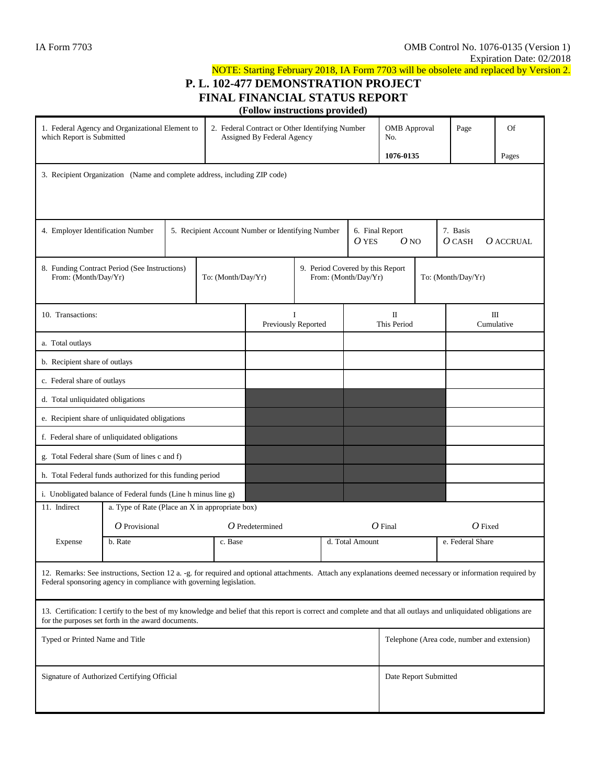## NOTE: Starting February 2018, IA Form 7703 will be obsolete and replaced by Version 2. **P. L. 102-477 DEMONSTRATION PROJECT FINAL FINANCIAL STATUS REPORT (Follow instructions provided)**

| 1. Federal Agency and Organizational Element to<br>which Report is Submitted                                                                                                                                                       |                                                                     |                                                   |         | 2. Federal Contract or Other Identifying Number<br>Assigned By Federal Agency |                                               |                 |                  | <b>OMB</b> Approval<br>No.                  |  | Page               | Of    |  |
|------------------------------------------------------------------------------------------------------------------------------------------------------------------------------------------------------------------------------------|---------------------------------------------------------------------|---------------------------------------------------|---------|-------------------------------------------------------------------------------|-----------------------------------------------|-----------------|------------------|---------------------------------------------|--|--------------------|-------|--|
|                                                                                                                                                                                                                                    |                                                                     |                                                   |         |                                                                               |                                               |                 |                  | 1076-0135                                   |  |                    | Pages |  |
| 3. Recipient Organization (Name and complete address, including ZIP code)                                                                                                                                                          |                                                                     |                                                   |         |                                                                               |                                               |                 |                  |                                             |  |                    |       |  |
| 4. Employer Identification Number                                                                                                                                                                                                  |                                                                     | 5. Recipient Account Number or Identifying Number |         |                                                                               | 6. Final Report<br>O <sub>NO</sub><br>$O$ YES |                 |                  | 7. Basis<br>$O$ CASH<br>$O$ ACCRUAL         |  |                    |       |  |
| From: (Month/Day/Yr)                                                                                                                                                                                                               | 8. Funding Contract Period (See Instructions)<br>To: (Month/Day/Yr) |                                                   |         | 9. Period Covered by this Report<br>From: (Month/Day/Yr)                      |                                               |                 |                  |                                             |  | To: (Month/Day/Yr) |       |  |
| 10. Transactions:                                                                                                                                                                                                                  |                                                                     |                                                   |         | Previously Reported                                                           |                                               |                 | П<br>This Period |                                             |  | Ш<br>Cumulative    |       |  |
| a. Total outlays                                                                                                                                                                                                                   |                                                                     |                                                   |         |                                                                               |                                               |                 |                  |                                             |  |                    |       |  |
| b. Recipient share of outlays                                                                                                                                                                                                      |                                                                     |                                                   |         |                                                                               |                                               |                 |                  |                                             |  |                    |       |  |
| c. Federal share of outlays                                                                                                                                                                                                        |                                                                     |                                                   |         |                                                                               |                                               |                 |                  |                                             |  |                    |       |  |
| d. Total unliquidated obligations                                                                                                                                                                                                  |                                                                     |                                                   |         |                                                                               |                                               |                 |                  |                                             |  |                    |       |  |
| e. Recipient share of unliquidated obligations                                                                                                                                                                                     |                                                                     |                                                   |         |                                                                               |                                               |                 |                  |                                             |  |                    |       |  |
| f. Federal share of unliquidated obligations                                                                                                                                                                                       |                                                                     |                                                   |         |                                                                               |                                               |                 |                  |                                             |  |                    |       |  |
| g. Total Federal share (Sum of lines c and f)                                                                                                                                                                                      |                                                                     |                                                   |         |                                                                               |                                               |                 |                  |                                             |  |                    |       |  |
| h. Total Federal funds authorized for this funding period                                                                                                                                                                          |                                                                     |                                                   |         |                                                                               |                                               |                 |                  |                                             |  |                    |       |  |
| i. Unobligated balance of Federal funds (Line h minus line g)                                                                                                                                                                      |                                                                     |                                                   |         |                                                                               |                                               |                 |                  |                                             |  |                    |       |  |
| 11. Indirect                                                                                                                                                                                                                       | a. Type of Rate (Place an X in appropriate box)                     |                                                   |         |                                                                               |                                               |                 |                  |                                             |  |                    |       |  |
|                                                                                                                                                                                                                                    | $\overline{O}$ Provisional                                          |                                                   |         | $O$ Predetermined                                                             |                                               |                 |                  | $O$ Final                                   |  | $O$ Fixed          |       |  |
| Expense                                                                                                                                                                                                                            | b. Rate                                                             |                                                   | c. Base |                                                                               |                                               | d. Total Amount |                  |                                             |  | e. Federal Share   |       |  |
| 12. Remarks: See instructions, Section 12 a. -g. for required and optional attachments. Attach any explanations deemed necessary or information required by<br>Federal sponsoring agency in compliance with governing legislation. |                                                                     |                                                   |         |                                                                               |                                               |                 |                  |                                             |  |                    |       |  |
| 13. Certification: I certify to the best of my knowledge and belief that this report is correct and complete and that all outlays and unliquidated obligations are<br>for the purposes set forth in the award documents.           |                                                                     |                                                   |         |                                                                               |                                               |                 |                  |                                             |  |                    |       |  |
| Typed or Printed Name and Title                                                                                                                                                                                                    |                                                                     |                                                   |         |                                                                               |                                               |                 |                  | Telephone (Area code, number and extension) |  |                    |       |  |
| Signature of Authorized Certifying Official                                                                                                                                                                                        |                                                                     |                                                   |         |                                                                               |                                               |                 |                  | Date Report Submitted                       |  |                    |       |  |